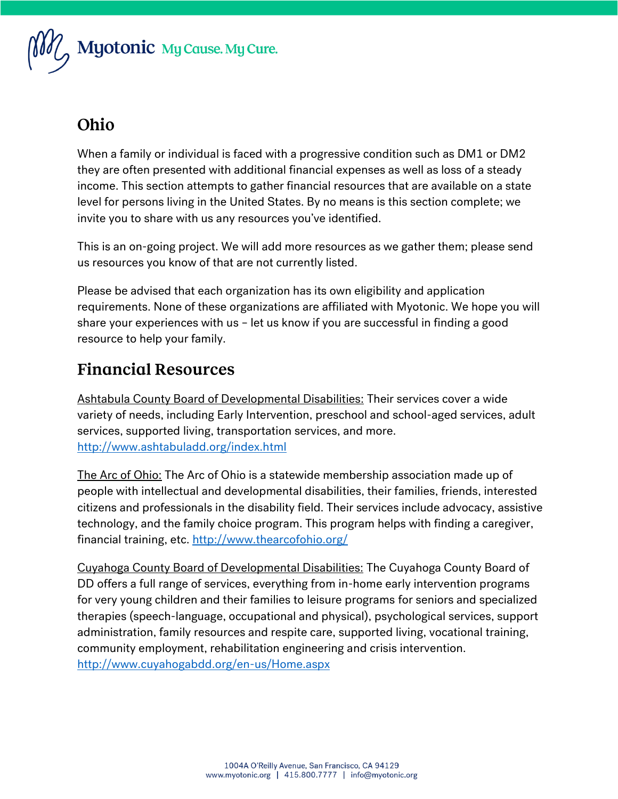$$
\text{Myt } \text{Myt } \text{Myt } \text{C} \text{ and } \text{Myt } \text{C} \text{ and } \text{C} \text{ are } \text{C} \text{ and } \text{C} \text{ are } \text{C} \text{ and } \text{C} \text{ are } \text{C} \text{ and } \text{C} \text{ are } \text{C} \text{ and } \text{C} \text{ are } \text{C} \text{ are } \text{C} \text{ are } \text{C} \text{ are } \text{C} \text{ are } \text{C} \text{ are } \text{C} \text{ are } \text{C} \text{ are } \text{C} \text{ are } \text{C} \text{ are } \text{C} \text{ are } \text{C} \text{ are } \text{C} \text{ are } \text{C} \text{ are } \text{C} \text{ are } \text{C} \text{ are } \text{C} \text{ are } \text{C} \text{ are } \text{C} \text{ are } \text{C} \text{ are } \text{C} \text{ are } \text{C} \text{ are } \text{C} \text{ are } \text{C} \text{ are } \text{C} \text{ are } \text{C} \text{ are } \text{C} \text{ are } \text{C} \text{ are } \text{C} \text{ are } \text{C} \text{ are } \text{C} \text{ are } \text{C} \text{ are } \text{C} \text{ are } \text{C} \text{ are } \text{C} \text{ are } \text{C} \text{ are } \text{C} \text{ are } \text{C} \text{ are } \text{C} \text{ are } \text{C} \text{ are } \text{C} \text{ are } \text{C} \text{ are } \text{C} \text{ are } \text{C} \text{ are } \text{C} \text{ are } \text{C} \text{ are } \text{C} \text{ are } \text{C} \text{ are } \text{C} \text{ are } \text{C} \text{ are } \text{C} \text{ are } \text{C} \text{ are } \text{C} \text{ are } \text{C} \text{ are } \text{C} \text{ are } \text{C} \text{ are } \text{C} \text{ are } \text{C} \text{ are } \text{C} \text{ are } \text{C} \text{ are } \text{C} \text{ are } \text{C} \text{ are } \text{C} \text{ are } \text{C} \
$$

### Ohio

When a family or individual is faced with a progressive condition such as DM1 or DM2 they are often presented with additional financial expenses as well as loss of a steady income. This section attempts to gather financial resources that are available on a state level for persons living in the United States. By no means is this section complete; we invite you to share with us any resources you've identified.

This is an on-going project. We will add more resources as we gather them; please send us resources you know of that are not currently listed.

Please be advised that each organization has its own eligibility and application requirements. None of these organizations are affiliated with Myotonic. We hope you will share your experiences with us – let us know if you are successful in finding a good resource to help your family.

#### **Financial Resources**

Ashtabula County Board of Developmental Disabilities: Their services cover a wide variety of needs, including Early Intervention, preschool and school-aged services, adult services, supported living, transportation services, and more. <http://www.ashtabuladd.org/index.html>

The Arc of Ohio: The Arc of Ohio is a statewide membership association made up of people with intellectual and developmental disabilities, their families, friends, interested citizens and professionals in the disability field. Their services include advocacy, assistive technology, and the family choice program. This program helps with finding a caregiver, financial training, etc.<http://www.thearcofohio.org/>

Cuyahoga County Board of Developmental Disabilities: The Cuyahoga County Board of DD offers a full range of services, everything from in-home early intervention programs for very young children and their families to leisure programs for seniors and specialized therapies (speech-language, occupational and physical), psychological services, support administration, family resources and respite care, supported living, vocational training, community employment, rehabilitation engineering and crisis intervention. <http://www.cuyahogabdd.org/en-us/Home.aspx>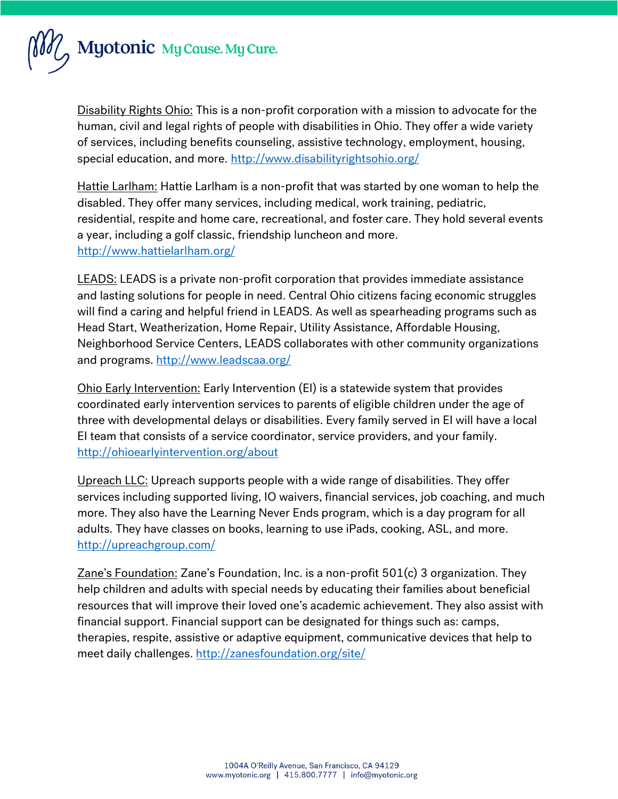

Disability Rights Ohio: This is a non-profit corporation with a mission to advocate for the human, civil and legal rights of people with disabilities in Ohio. They offer a wide variety of services, including benefits counseling, assistive technology, employment, housing, special education, and more.<http://www.disabilityrightsohio.org/>

Hattie Larlham: Hattie Larlham is a non-profit that was started by one woman to help the disabled. They offer many services, including medical, work training, pediatric, residential, respite and home care, recreational, and foster care. They hold several events a year, including a golf classic, friendship luncheon and more. <http://www.hattielarlham.org/>

LEADS: LEADS is a private non-profit corporation that provides immediate assistance and lasting solutions for people in need. Central Ohio citizens facing economic struggles will find a caring and helpful friend in LEADS. As well as spearheading programs such as Head Start, Weatherization, Home Repair, Utility Assistance, Affordable Housing, Neighborhood Service Centers, LEADS collaborates with other community organizations and programs[. http://www.leadscaa.org/](http://www.leadscaa.org/)

Ohio Early Intervention: Early Intervention (EI) is a statewide system that provides coordinated early intervention services to parents of eligible children under the age of three with developmental delays or disabilities. Every family served in EI will have a local EI team that consists of a service coordinator, service providers, and your family. <http://ohioearlyintervention.org/about>

Upreach LLC: Upreach supports people with a wide range of disabilities. They offer services including supported living, IO waivers, financial services, job coaching, and much more. They also have the Learning Never Ends program, which is a day program for all adults. They have classes on books, learning to use iPads, cooking, ASL, and more. <http://upreachgroup.com/>

Zane's Foundation: Zane's Foundation, Inc. is a non-profit 501(c) 3 organization. They help children and adults with special needs by educating their families about beneficial resources that will improve their loved one's academic achievement. They also assist with financial support. Financial support can be designated for things such as: camps, therapies, respite, assistive or adaptive equipment, communicative devices that help to meet daily challenges.<http://zanesfoundation.org/site/>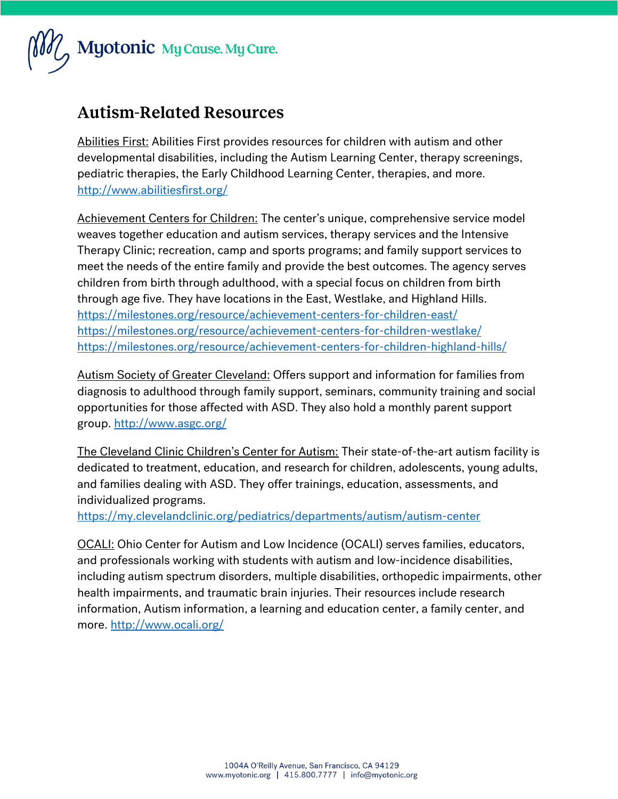

#### **Autism-Related Resources**

Abilities First: Abilities First provides resources for children with autism and other developmental disabilities, including the Autism Learning Center, therapy screenings, pediatric therapies, the Early Childhood Learning Center, therapies, and more. <http://www.abilitiesfirst.org/>

Achievement Centers for Children: The center's unique, comprehensive service model weaves together education and autism services, therapy services and the Intensive Therapy Clinic; recreation, camp and sports programs; and family support services to meet the needs of the entire family and provide the best outcomes. The agency serves children from birth through adulthood, with a special focus on children from birth through age five. They have locations in the East, Westlake, and Highland Hills. <https://milestones.org/resource/achievement-centers-for-children-east/> <https://milestones.org/resource/achievement-centers-for-children-westlake/> <https://milestones.org/resource/achievement-centers-for-children-highland-hills/>

Autism Society of Greater Cleveland: Offers support and information for families from diagnosis to adulthood through family support, seminars, community training and social opportunities for those affected with ASD. They also hold a monthly parent support group.<http://www.asgc.org/>

The Cleveland Clinic Children's Center for Autism: Their state-of-the-art autism facility is dedicated to treatment, education, and research for children, adolescents, young adults, and families dealing with ASD. They offer trainings, education, assessments, and individualized programs.

<https://my.clevelandclinic.org/pediatrics/departments/autism/autism-center>

OCALI: Ohio Center for Autism and Low Incidence (OCALI) serves families, educators, and professionals working with students with autism and low-incidence disabilities, including autism spectrum disorders, multiple disabilities, orthopedic impairments, other health impairments, and traumatic brain injuries. Their resources include research information, Autism information, a learning and education center, a family center, and more.<http://www.ocali.org/>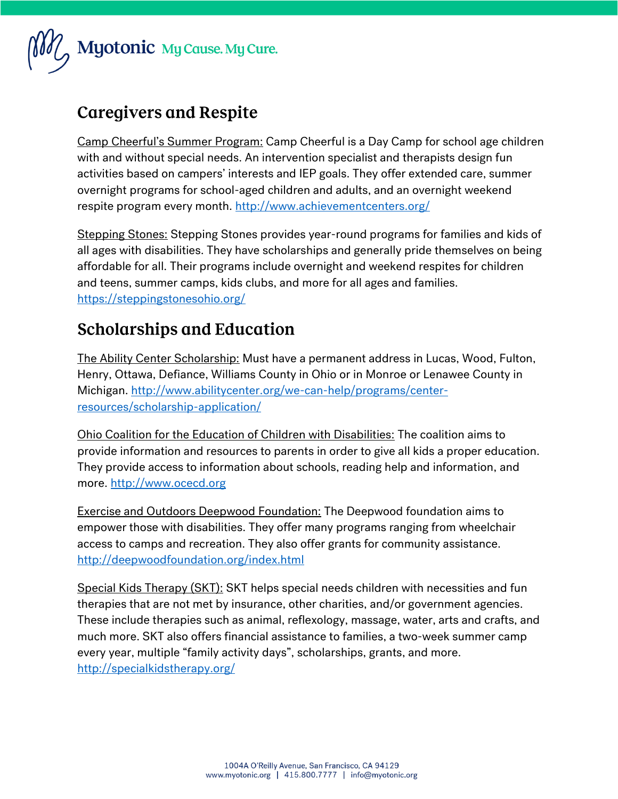

# **Caregivers and Respite**

Camp Cheerful's Summer Program: Camp Cheerful is a Day Camp for school age children with and without special needs. An intervention specialist and therapists design fun activities based on campers' interests and IEP goals. They offer extended care, summer overnight programs for school-aged children and adults, and an overnight weekend respite program every month.<http://www.achievementcenters.org/>

Stepping Stones: Stepping Stones provides year-round programs for families and kids of all ages with disabilities. They have scholarships and generally pride themselves on being affordable for all. Their programs include overnight and weekend respites for children and teens, summer camps, kids clubs, and more for all ages and families. <https://steppingstonesohio.org/>

# **Scholarships and Education**

The Ability Center Scholarship: Must have a permanent address in Lucas, Wood, Fulton, Henry, Ottawa, Defiance, Williams County in Ohio or in Monroe or Lenawee County in Michigan. [http://www.abilitycenter.org/we-can-help/programs/center](http://www.abilitycenter.org/we-can-help/programs/center-resources/scholarship-application/)[resources/scholarship-application/](http://www.abilitycenter.org/we-can-help/programs/center-resources/scholarship-application/)

Ohio Coalition for the Education of Children with Disabilities: The coalition aims to provide information and resources to parents in order to give all kids a proper education. They provide access to information about schools, reading help and information, and more. [http://www.ocecd.org](http://www.ocecd.org/)

Exercise and Outdoors Deepwood Foundation: The Deepwood foundation aims to empower those with disabilities. They offer many programs ranging from wheelchair access to camps and recreation. They also offer grants for community assistance. <http://deepwoodfoundation.org/index.html>

Special Kids Therapy (SKT): SKT helps special needs children with necessities and fun therapies that are not met by insurance, other charities, and/or government agencies. These include therapies such as animal, reflexology, massage, water, arts and crafts, and much more. SKT also offers financial assistance to families, a two-week summer camp every year, multiple "family activity days", scholarships, grants, and more. <http://specialkidstherapy.org/>